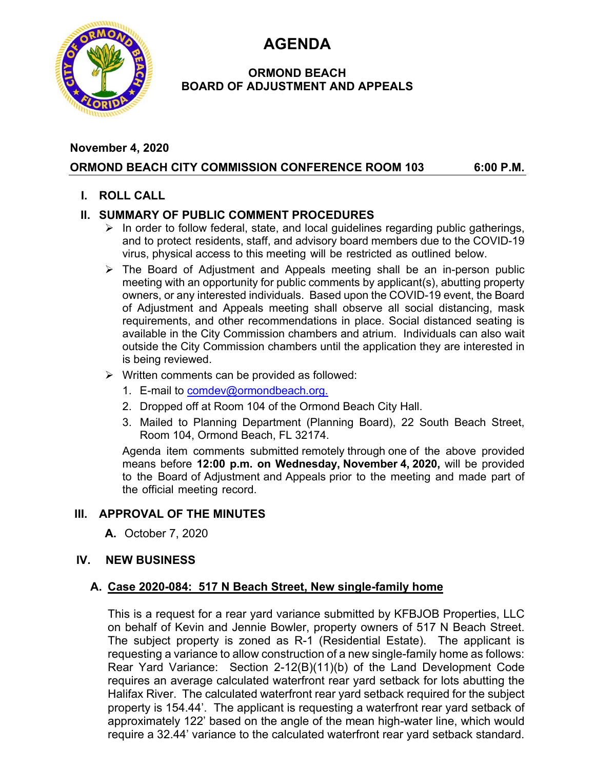**AGENDA** 



### **ORMOND BEACH BOARD OF ADJUSTMENT AND APPEALS**

### **November 4, 2020 ORMOND BEACH CITY COMMISSION CONFERENCE ROOM 103 6:00 P.M.**

### **I. ROLL CALL**

## **II. SUMMARY OF PUBLIC COMMENT PROCEDURES**

- $\triangleright$  In order to follow federal, state, and local guidelines regarding public gatherings, and to protect residents, staff, and advisory board members due to the COVID-19 virus, physical access to this meeting will be restricted as outlined below.
- $\triangleright$  The Board of Adjustment and Appeals meeting shall be an in-person public meeting with an opportunity for public comments by applicant(s), abutting property owners, or any interested individuals. Based upon the COVID-19 event, the Board of Adjustment and Appeals meeting shall observe all social distancing, mask requirements, and other recommendations in place. Social distanced seating is available in the City Commission chambers and atrium. Individuals can also wait outside the City Commission chambers until the application they are interested in is being reviewed.
- $\triangleright$  Written comments can be provided as followed:
	- 1. E-mail to comdev@ormondbeach.org.
	- 2. Dropped off at Room 104 of the Ormond Beach City Hall.
	- 3. Mailed to Planning Department (Planning Board), 22 South Beach Street, Room 104, Ormond Beach, FL 32174.

Agenda item comments submitted remotely through one of the above provided means before **12:00 p.m. on Wednesday, November 4, 2020,** will be provided to the Board of Adjustment and Appeals prior to the meeting and made part of the official meeting record.

# **III. APPROVAL OF THE MINUTES**

**A.** October 7, 2020

### **IV. NEW BUSINESS**

### **A. Case 2020-084: 517 N Beach Street, New single-family home**

This is a request for a rear yard variance submitted by KFBJOB Properties, LLC on behalf of Kevin and Jennie Bowler, property owners of 517 N Beach Street. The subject property is zoned as R-1 (Residential Estate). The applicant is requesting a variance to allow construction of a new single-family home as follows: Rear Yard Variance: Section 2-12(B)(11)(b) of the Land Development Code requires an average calculated waterfront rear yard setback for lots abutting the Halifax River. The calculated waterfront rear yard setback required for the subject property is 154.44'. The applicant is requesting a waterfront rear yard setback of approximately 122' based on the angle of the mean high-water line, which would require a 32.44' variance to the calculated waterfront rear yard setback standard.